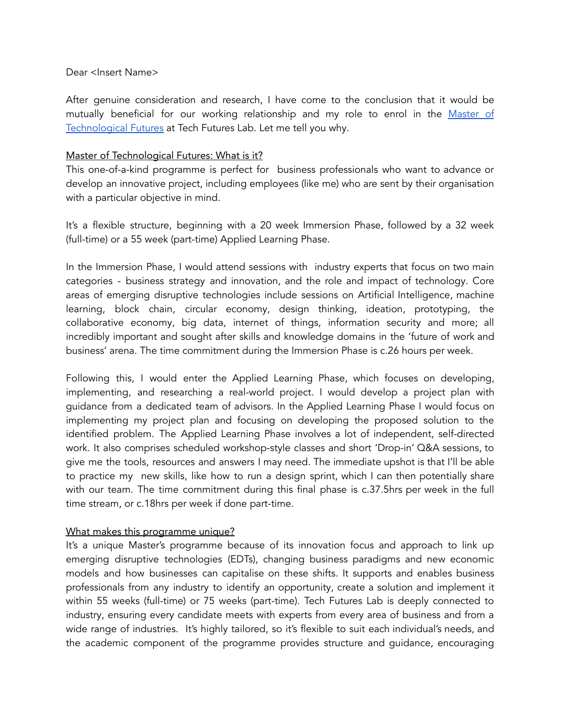#### Dear <Insert Name>

After genuine consideration and research, I have come to the conclusion that it would be mutually beneficial for our working relationship and my role to enrol in the [Master](https://www.techfutureslab.com/master-of-technological-futures) of [Technological](https://www.techfutureslab.com/master-of-technological-futures) Futures at Tech Futures Lab. Let me tell you why.

#### Master of Technological Futures: What is it?

This one-of-a-kind programme is perfect for business professionals who want to advance or develop an innovative project, including employees (like me) who are sent by their organisation with a particular objective in mind.

It's a flexible structure, beginning with a 20 week Immersion Phase, followed by a 32 week (full-time) or a 55 week (part-time) Applied Learning Phase.

In the Immersion Phase, I would attend sessions with industry experts that focus on two main categories - business strategy and innovation, and the role and impact of technology. Core areas of emerging disruptive technologies include sessions on Artificial Intelligence, machine learning, block chain, circular economy, design thinking, ideation, prototyping, the collaborative economy, big data, internet of things, information security and more; all incredibly important and sought after skills and knowledge domains in the 'future of work and business' arena. The time commitment during the Immersion Phase is c.26 hours per week.

Following this, I would enter the Applied Learning Phase, which focuses on developing, implementing, and researching a real-world project. I would develop a project plan with guidance from a dedicated team of advisors. In the Applied Learning Phase I would focus on implementing my project plan and focusing on developing the proposed solution to the identified problem. The Applied Learning Phase involves a lot of independent, self-directed work. It also comprises scheduled workshop-style classes and short 'Drop-in' Q&A sessions, to give me the tools, resources and answers I may need. The immediate upshot is that I'll be able to practice my new skills, like how to run a design sprint, which I can then potentially share with our team. The time commitment during this final phase is c.37.5hrs per week in the full time stream, or c.18hrs per week if done part-time.

### What makes this programme unique?

It's a unique Master's programme because of its innovation focus and approach to link up emerging disruptive technologies (EDTs), changing business paradigms and new economic models and how businesses can capitalise on these shifts. It supports and enables business professionals from any industry to identify an opportunity, create a solution and implement it within 55 weeks (full-time) or 75 weeks (part-time). Tech Futures Lab is deeply connected to industry, ensuring every candidate meets with experts from every area of business and from a wide range of industries. It's highly tailored, so it's flexible to suit each individual's needs, and the academic component of the programme provides structure and guidance, encouraging